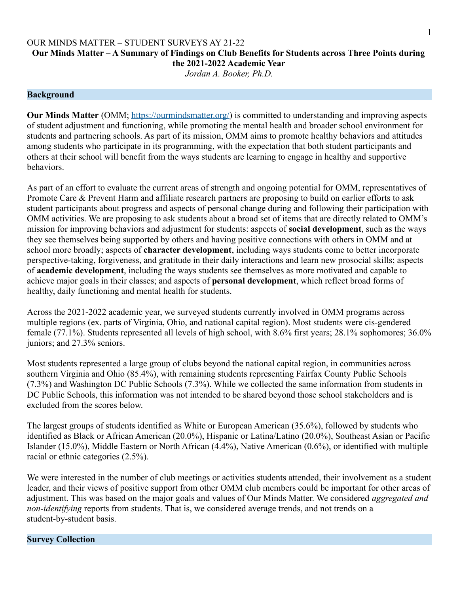## **Our Minds Matter – A Summary of Findings on Club Benefits for Students across Three Points during the 2021-2022 Academic Year**

*Jordan A. Booker, Ph.D.*

#### **Background**

**Our Minds Matter** (OMM; <https://ourmindsmatter.org/>) is committed to understanding and improving aspects of student adjustment and functioning, while promoting the mental health and broader school environment for students and partnering schools. As part of its mission, OMM aims to promote healthy behaviors and attitudes among students who participate in its programming, with the expectation that both student participants and others at their school will benefit from the ways students are learning to engage in healthy and supportive behaviors.

As part of an effort to evaluate the current areas of strength and ongoing potential for OMM, representatives of Promote Care & Prevent Harm and affiliate research partners are proposing to build on earlier efforts to ask student participants about progress and aspects of personal change during and following their participation with OMM activities. We are proposing to ask students about a broad set of items that are directly related to OMM's mission for improving behaviors and adjustment for students: aspects of **social development**, such as the ways they see themselves being supported by others and having positive connections with others in OMM and at school more broadly; aspects of **character development**, including ways students come to better incorporate perspective-taking, forgiveness, and gratitude in their daily interactions and learn new prosocial skills; aspects of **academic development**, including the ways students see themselves as more motivated and capable to achieve major goals in their classes; and aspects of **personal development**, which reflect broad forms of healthy, daily functioning and mental health for students.

Across the 2021-2022 academic year, we surveyed students currently involved in OMM programs across multiple regions (ex. parts of Virginia, Ohio, and national capital region). Most students were cis-gendered female (77.1%). Students represented all levels of high school, with 8.6% first years; 28.1% sophomores; 36.0% juniors; and 27.3% seniors.

Most students represented a large group of clubs beyond the national capital region, in communities across southern Virginia and Ohio (85.4%), with remaining students representing Fairfax County Public Schools (7.3%) and Washington DC Public Schools (7.3%). While we collected the same information from students in DC Public Schools, this information was not intended to be shared beyond those school stakeholders and is excluded from the scores below.

The largest groups of students identified as White or European American (35.6%), followed by students who identified as Black or African American (20.0%), Hispanic or Latina/Latino (20.0%), Southeast Asian or Pacific Islander (15.0%), Middle Eastern or North African (4.4%), Native American (0.6%), or identified with multiple racial or ethnic categories (2.5%).

We were interested in the number of club meetings or activities students attended, their involvement as a student leader, and their views of positive support from other OMM club members could be important for other areas of adjustment. This was based on the major goals and values of Our Minds Matter. We considered *aggregated and non-identifying* reports from students. That is, we considered average trends, and not trends on a student-by-student basis.

#### **Survey Collection**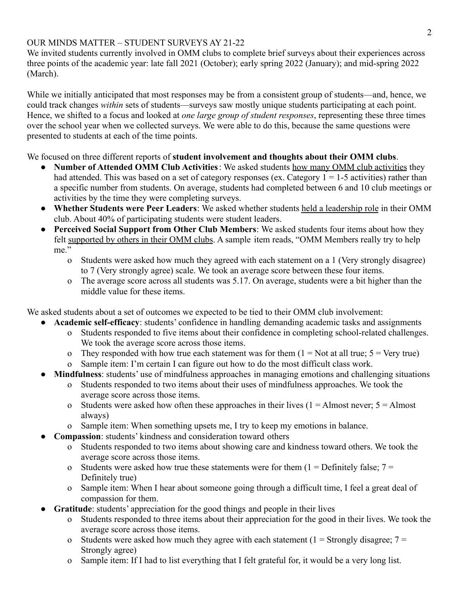We invited students currently involved in OMM clubs to complete brief surveys about their experiences across three points of the academic year: late fall 2021 (October); early spring 2022 (January); and mid-spring 2022 (March).

While we initially anticipated that most responses may be from a consistent group of students—and, hence, we could track changes *within* sets of students—surveys saw mostly unique students participating at each point. Hence, we shifted to a focus and looked at *one large group of student responses*, representing these three times over the school year when we collected surveys. We were able to do this, because the same questions were presented to students at each of the time points.

We focused on three different reports of **student involvement and thoughts about their OMM clubs**.

- **Number of Attended OMM Club Activities**: We asked students how many OMM club activities they had attended. This was based on a set of category responses (ex. Category  $1 = 1-5$  activities) rather than a specific number from students. On average, students had completed between 6 and 10 club meetings or activities by the time they were completing surveys.
- **Whether Students were Peer Leaders**: We asked whether students held a leadership role in their OMM club. About 40% of participating students were student leaders.
- **Perceived Social Support from Other Club Members**: We asked students four items about how they felt supported by others in their OMM clubs. A sample item reads, "OMM Members really try to help me."
	- o Students were asked how much they agreed with each statement on a 1 (Very strongly disagree) to 7 (Very strongly agree) scale. We took an average score between these four items.
	- o The average score across all students was 5.17. On average, students were a bit higher than the middle value for these items.

We asked students about a set of outcomes we expected to be tied to their OMM club involvement:

- **Academic self-efficacy**: students' confidence in handling demanding academic tasks and assignments
	- o Students responded to five items about their confidence in completing school-related challenges. We took the average score across those items.
	- o They responded with how true each statement was for them  $(1 = Not at all true; 5 = Very true)$
	- o Sample item: I'm certain I can figure out how to do the most difficult class work.
- **Mindfulness**: students' use of mindfulness approaches in managing emotions and challenging situations
	- o Students responded to two items about their uses of mindfulness approaches. We took the average score across those items.
		- o Students were asked how often these approaches in their lives  $(1 =$ Almost never;  $5 =$ Almost always)
	- o Sample item: When something upsets me, I try to keep my emotions in balance.
- **Compassion**: students' kindness and consideration toward others
	- o Students responded to two items about showing care and kindness toward others. We took the average score across those items.
	- o Students were asked how true these statements were for them  $(1 = Definitely false; 7 =$ Definitely true)
	- o Sample item: When I hear about someone going through a difficult time, I feel a great deal of compassion for them.
- **Gratitude**: students' appreciation for the good things and people in their lives
	- o Students responded to three items about their appreciation for the good in their lives. We took the average score across those items.
	- o Students were asked how much they agree with each statement  $(1 =$  Strongly disagree;  $7 =$ Strongly agree)
	- o Sample item: If I had to list everything that I felt grateful for, it would be a very long list.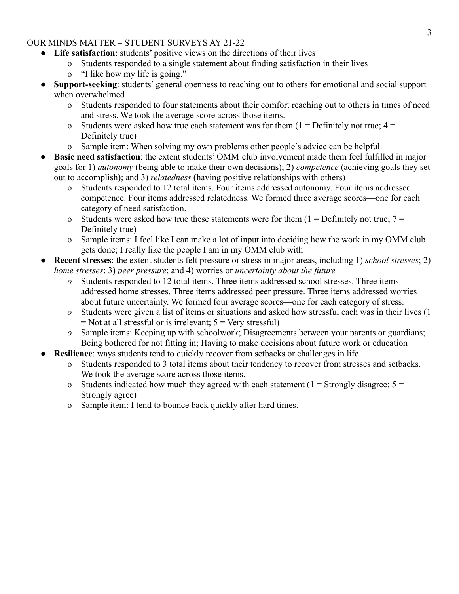- **Life satisfaction**: students' positive views on the directions of their lives
	- o Students responded to a single statement about finding satisfaction in their lives
	- o "I like how my life is going."
- **Support-seeking**: students' general openness to reaching out to others for emotional and social support when overwhelmed
	- o Students responded to four statements about their comfort reaching out to others in times of need and stress. We took the average score across those items.
	- o Students were asked how true each statement was for them  $(1 = Definitely not true; 4 =$ Definitely true)
	- o Sample item: When solving my own problems other people's advice can be helpful.
- **Basic need satisfaction**: the extent students' OMM club involvement made them feel fulfilled in major goals for 1) *autonomy* (being able to make their own decisions); 2) *competence* (achieving goals they set out to accomplish); and 3) *relatedness* (having positive relationships with others)
	- o Students responded to 12 total items. Four items addressed autonomy. Four items addressed competence. Four items addressed relatedness. We formed three average scores—one for each category of need satisfaction.
	- o Students were asked how true these statements were for them  $(1 = Definitely not true; 7 =$ Definitely true)
	- o Sample items: I feel like I can make a lot of input into deciding how the work in my OMM club gets done; I really like the people I am in my OMM club with
- **Recent stresses**: the extent students felt pressure or stress in major areas, including 1) *school stresses*; 2) *home stresses*; 3) *peer pressure*; and 4) worries or *uncertainty about the future*
	- *o* Students responded to 12 total items. Three items addressed school stresses. Three items addressed home stresses. Three items addressed peer pressure. Three items addressed worries about future uncertainty. We formed four average scores—one for each category of stress.
	- *o* Students were given a list of items or situations and asked how stressful each was in their lives (1  $=$  Not at all stressful or is irrelevant;  $5 =$  Very stressful)
	- *o* Sample items: Keeping up with schoolwork; Disagreements between your parents or guardians; Being bothered for not fitting in; Having to make decisions about future work or education
- **Resilience**: ways students tend to quickly recover from setbacks or challenges in life
	- o Students responded to 3 total items about their tendency to recover from stresses and setbacks. We took the average score across those items.
	- o Students indicated how much they agreed with each statement ( $1 =$  Strongly disagree;  $5 =$ Strongly agree)
	- o Sample item: I tend to bounce back quickly after hard times.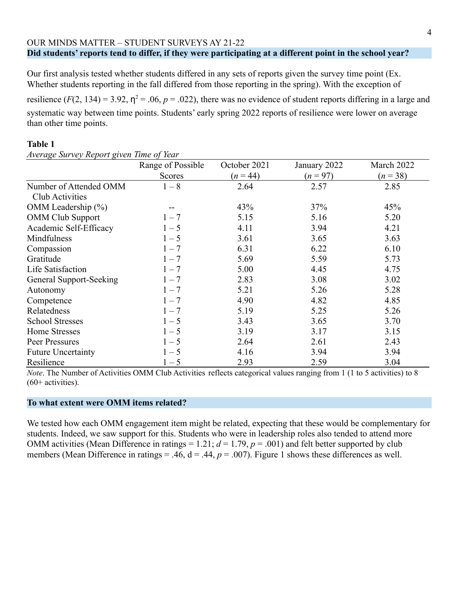#### OUR MINDS MATTER – STUDENT SURVEYS AY 21-22 **Did students' reports tend to differ, if they were participating at a different point in the school year?**

Our first analysis tested whether students differed in any sets of reports given the survey time point (Ex. Whether students reporting in the fall differed from those reporting in the spring). With the exception of

resilience  $(F(2, 134) = 3.92, \eta^2 = .06, p = .022)$ , there was no evidence of student reports differing in a large and systematic way between time points. Students' early spring 2022 reports of resilience were lower on average than other time points.

## **Table 1**

*Average Survey Report given Time of Year* Range of Possible Scores October 2021  $(n = 44)$ January 2022  $(n = 97)$ March 2022  $(n=38)$ Number of Attended OMM Club Activities  $1-8$  2.64 2.57 2.85 OMM Leadership (%)  $-$  43% 37% 45% OMM Club Support  $1 - 7$  5.15 5.16 5.20 Academic Self-Efficacy  $1-5$  4.11 3.94 4.21 Mindfulness  $1-5$   $3.61$   $3.65$   $3.63$  $1 - 7$  6.31 6.22 6.10 Gratitude  $1 - 7$  5.69 5.59 5.73 Life Satisfaction  $1-7$  5.00  $4.45$  4.75 General Support-Seeking  $1 - 7$   $2.83$   $3.08$   $3.02$ Autonomy  $1-7$  5.21 5.26 5.28 Competence  $1 - 7$  4.90  $4.82$  4.85 Relatedness  $1-7$  5.19 5.25 5.26 School Stresses  $1 - 5$   $3.43$   $3.65$   $3.70$ Home Stresses  $1-5$   $3.19$   $3.17$   $3.15$ Peer Pressures  $1 - 5$  2.64 2.61 2.43 Future Uncertainty  $1-5$  4.16  $3.94$  3.94  $3.94$ Resilience  $1 - 5$  2.93 2.59 3.04

*Note*. The Number of Activities OMM Club Activities reflects categorical values ranging from 1 (1 to 5 activities) to 8  $(60+$  activities).

## **To what extent were OMM items related?**

We tested how each OMM engagement item might be related, expecting that these would be complementary for students. Indeed, we saw support for this. Students who were in leadership roles also tended to attend more OMM activities (Mean Difference in ratings = 1.21;  $d = 1.79$ ,  $p = .001$ ) and felt better supported by club members (Mean Difference in ratings = .46,  $d = .44$ ,  $p = .007$ ). Figure 1 shows these differences as well.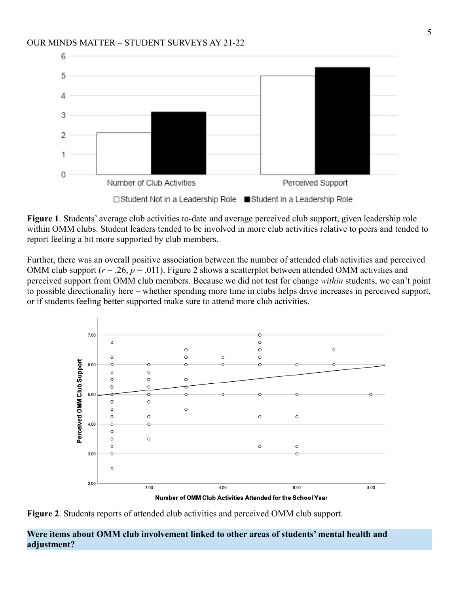

**Figure 1**. Students' average club activities to-date and average perceived club support, given leadership role within OMM clubs. Student leaders tended to be involved in more club activities relative to peers and tended to report feeling a bit more supported by club members.

Further, there was an overall positive association between the number of attended club activities and perceived OMM club support ( $r = 0.26$ ,  $p = 0.011$ ). Figure 2 shows a scatterplot between attended OMM activities and perceived support from OMM club members. Because we did not test for change *within* students, we can't point to possible directionality here – whether spending more time in clubs helps drive increases in perceived support, or if students feeling better supported make sure to attend more club activities.



**Figure 2**. Students reports of attended club activities and perceived OMM club support.

**Were items about OMM club involvement linked to other areas of students' mental health and adjustment?**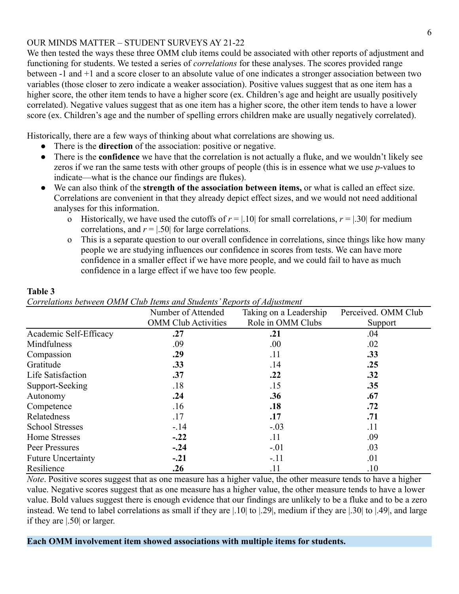We then tested the ways these three OMM club items could be associated with other reports of adjustment and functioning for students. We tested a series of *correlations* for these analyses. The scores provided range between -1 and +1 and a score closer to an absolute value of one indicates a stronger association between two variables (those closer to zero indicate a weaker association). Positive values suggest that as one item has a higher score, the other item tends to have a higher score (ex. Children's age and height are usually positively correlated). Negative values suggest that as one item has a higher score, the other item tends to have a lower score (ex. Children's age and the number of spelling errors children make are usually negatively correlated).

Historically, there are a few ways of thinking about what correlations are showing us.

- There is the **direction** of the association: positive or negative.
- There is the **confidence** we have that the correlation is not actually a fluke, and we wouldn't likely see zeros if we ran the same tests with other groups of people (this is in essence what we use *p*-values to indicate—what is the chance our findings are flukes).
- We can also think of the **strength of the association between items,** or what is called an effect size. Correlations are convenient in that they already depict effect sizes, and we would not need additional analyses for this information.
	- o Historically, we have used the cutoffs of  $r = |0.10|$  for small correlations,  $r = |0.30|$  for medium correlations, and  $r = 1.50$  for large correlations.
	- o This is a separate question to our overall confidence in correlations, since things like how many people we are studying influences our confidence in scores from tests. We can have more confidence in a smaller effect if we have more people, and we could fail to have as much confidence in a large effect if we have too few people.

| Correlations occured tomine club fields and staddies freports of fugustment |                            |                        |                     |
|-----------------------------------------------------------------------------|----------------------------|------------------------|---------------------|
|                                                                             | Number of Attended         | Taking on a Leadership | Perceived. OMM Club |
|                                                                             | <b>OMM Club Activities</b> | Role in OMM Clubs      | Support             |
| Academic Self-Efficacy                                                      | .27                        | .21                    | .04                 |
| Mindfulness                                                                 | .09                        | .00.                   | .02                 |
| Compassion                                                                  | .29                        | .11                    | .33                 |
| Gratitude                                                                   | .33                        | .14                    | .25                 |
| Life Satisfaction                                                           | .37                        | .22                    | .32                 |
| Support-Seeking                                                             | .18                        | .15                    | .35                 |
| Autonomy                                                                    | .24                        | .36                    | .67                 |
| Competence                                                                  | .16                        | .18                    | .72                 |
| Relatedness                                                                 | .17                        | .17                    | .71                 |
| <b>School Stresses</b>                                                      | $-.14$                     | $-.03$                 | .11                 |
| Home Stresses                                                               | $-.22$                     | .11                    | .09                 |
| Peer Pressures                                                              | $-.24$                     | $-.01$                 | .03                 |
| <b>Future Uncertainty</b>                                                   | $-.21$                     | $-.11$                 | .01                 |
| Resilience                                                                  | .26                        | .11                    | .10                 |

**Table 3**

*Note*. Positive scores suggest that as one measure has a higher value, the other measure tends to have a higher value. Negative scores suggest that as one measure has a higher value, the other measure tends to have a lower value. Bold values suggest there is enough evidence that our findings are unlikely to be a fluke and to be a zero instead. We tend to label correlations as small if they are |.10| to |.29|, medium if they are |.30| to |.49|, and large if they are |.50| or larger.

**Each OMM involvement item showed associations with multiple items for students.**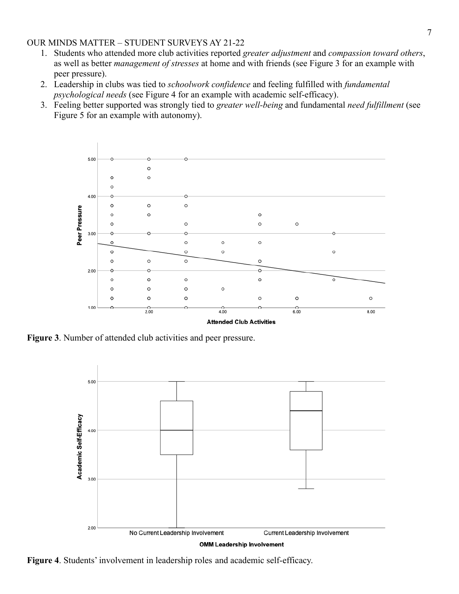- 1. Students who attended more club activities reported *greater adjustment* and *compassion toward others*, as well as better *management of stresses* at home and with friends (see Figure 3 for an example with peer pressure).
- 2. Leadership in clubs was tied to *schoolwork confidence* and feeling fulfilled with *fundamental psychological needs* (see Figure 4 for an example with academic self-efficacy).
- 3. Feeling better supported was strongly tied to *greater well-being* and fundamental *need fulfillment* (see Figure 5 for an example with autonomy).



**Figure 3**. Number of attended club activities and peer pressure.



**Figure 4**. Students' involvement in leadership roles and academic self-efficacy.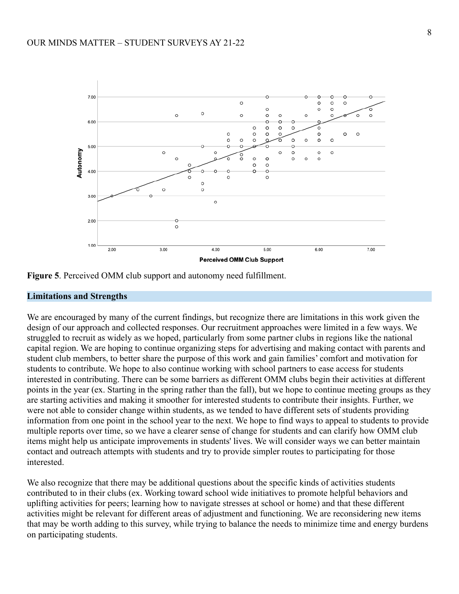



#### **Limitations and Strengths**

We are encouraged by many of the current findings, but recognize there are limitations in this work given the design of our approach and collected responses. Our recruitment approaches were limited in a few ways. We struggled to recruit as widely as we hoped, particularly from some partner clubs in regions like the national capital region. We are hoping to continue organizing steps for advertising and making contact with parents and student club members, to better share the purpose of this work and gain families' comfort and motivation for students to contribute. We hope to also continue working with school partners to ease access for students interested in contributing. There can be some barriers as different OMM clubs begin their activities at different points in the year (ex. Starting in the spring rather than the fall), but we hope to continue meeting groups as they are starting activities and making it smoother for interested students to contribute their insights. Further, we were not able to consider change within students, as we tended to have different sets of students providing information from one point in the school year to the next. We hope to find ways to appeal to students to provide multiple reports over time, so we have a clearer sense of change for students and can clarify how OMM club items might help us anticipate improvements in students' lives. We will consider ways we can better maintain contact and outreach attempts with students and try to provide simpler routes to participating for those interested.

We also recognize that there may be additional questions about the specific kinds of activities students contributed to in their clubs (ex. Working toward school wide initiatives to promote helpful behaviors and uplifting activities for peers; learning how to navigate stresses at school or home) and that these different activities might be relevant for different areas of adjustment and functioning. We are reconsidering new items that may be worth adding to this survey, while trying to balance the needs to minimize time and energy burdens on participating students.